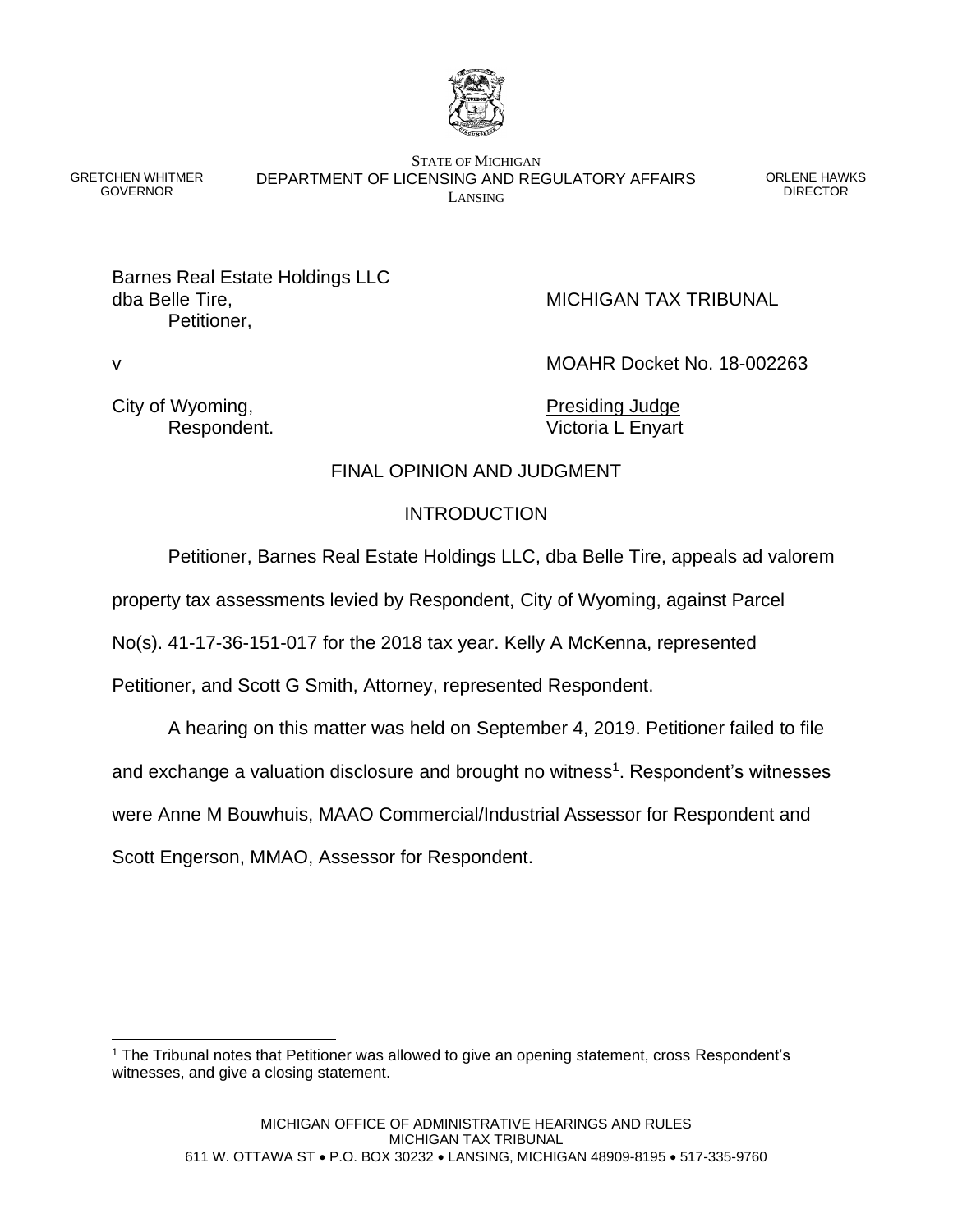

GRETCHEN WHITMER GOVERNOR

STATE OF MICHIGAN DEPARTMENT OF LICENSING AND REGULATORY AFFAIRS LANSING

ORLENE HAWKS DIRECTOR

Barnes Real Estate Holdings LLC dba Belle Tire, MICHIGAN TAX TRIBUNAL Petitioner,

v MOAHR Docket No. 18-002263

City of Wyoming, The City of Wyoming,

Respondent. **Victoria L Enyart** 

# FINAL OPINION AND JUDGMENT

# INTRODUCTION

Petitioner, Barnes Real Estate Holdings LLC, dba Belle Tire, appeals ad valorem

property tax assessments levied by Respondent, City of Wyoming, against Parcel

No(s). 41-17-36-151-017 for the 2018 tax year. Kelly A McKenna, represented

Petitioner, and Scott G Smith, Attorney, represented Respondent.

A hearing on this matter was held on September 4, 2019. Petitioner failed to file

and exchange a valuation disclosure and brought no witness<sup>1</sup>. Respondent's witnesses

were Anne M Bouwhuis, MAAO Commercial/Industrial Assessor for Respondent and

Scott Engerson, MMAO, Assessor for Respondent.

<sup>&</sup>lt;sup>1</sup> The Tribunal notes that Petitioner was allowed to give an opening statement, cross Respondent's witnesses, and give a closing statement.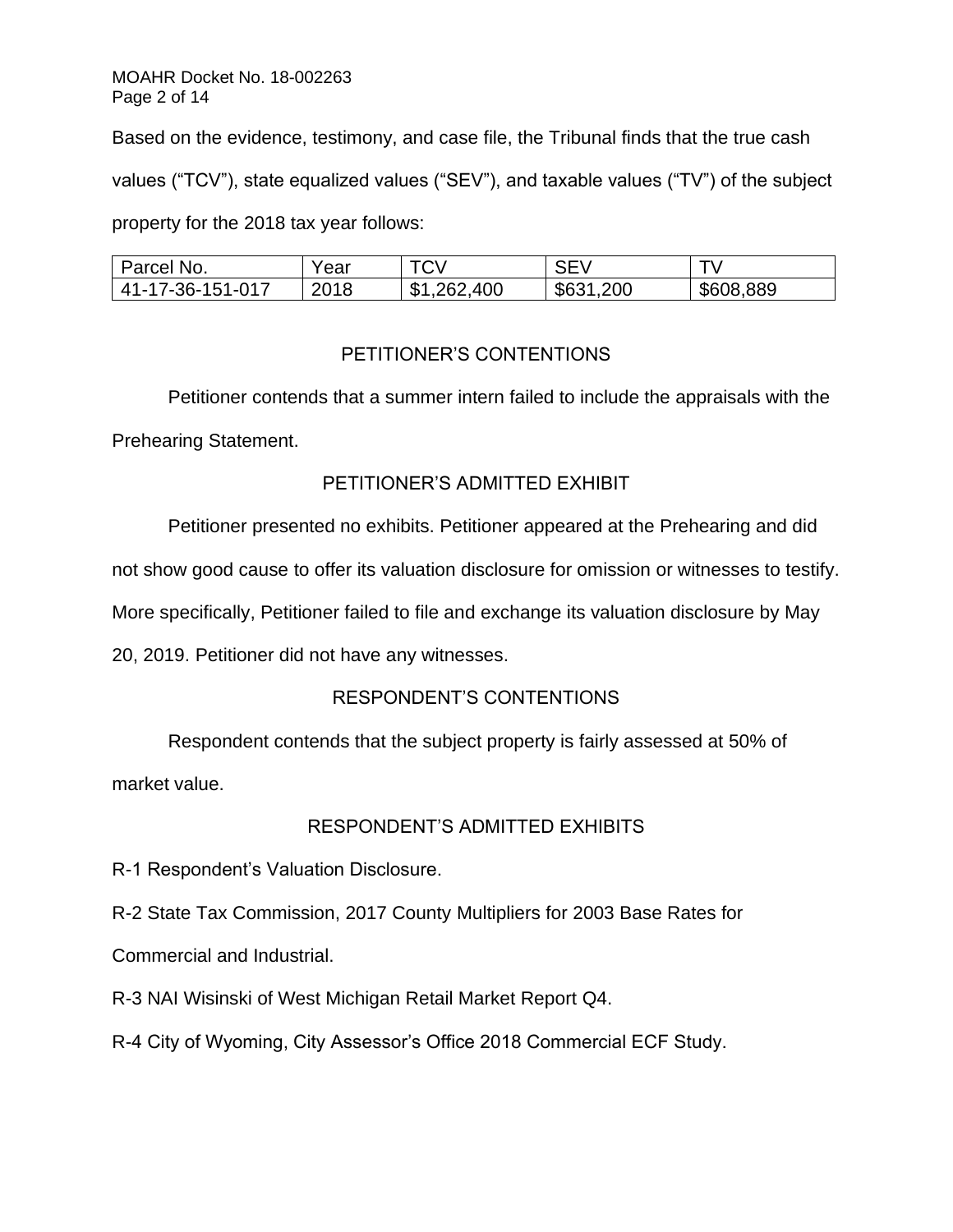Based on the evidence, testimony, and case file, the Tribunal finds that the true cash values ("TCV"), state equalized values ("SEV"), and taxable values ("TV") of the subject property for the 2018 tax year follows:

| Parcel No.       | Year | <b>TCV</b>                  | <b>SEV</b> |           |
|------------------|------|-----------------------------|------------|-----------|
| 41-17-36-151-017 | 2018 | ,262,400<br><b>C</b> 1<br>D | \$631,200  | \$608,889 |

# PETITIONER'S CONTENTIONS

Petitioner contends that a summer intern failed to include the appraisals with the Prehearing Statement.

# PETITIONER'S ADMITTED EXHIBIT

Petitioner presented no exhibits. Petitioner appeared at the Prehearing and did

not show good cause to offer its valuation disclosure for omission or witnesses to testify.

More specifically, Petitioner failed to file and exchange its valuation disclosure by May

20, 2019. Petitioner did not have any witnesses.

# RESPONDENT'S CONTENTIONS

Respondent contends that the subject property is fairly assessed at 50% of

market value.

# RESPONDENT'S ADMITTED EXHIBITS

R-1 Respondent's Valuation Disclosure.

R-2 State Tax Commission, 2017 County Multipliers for 2003 Base Rates for

Commercial and Industrial.

R-3 NAI Wisinski of West Michigan Retail Market Report Q4.

R-4 City of Wyoming, City Assessor's Office 2018 Commercial ECF Study.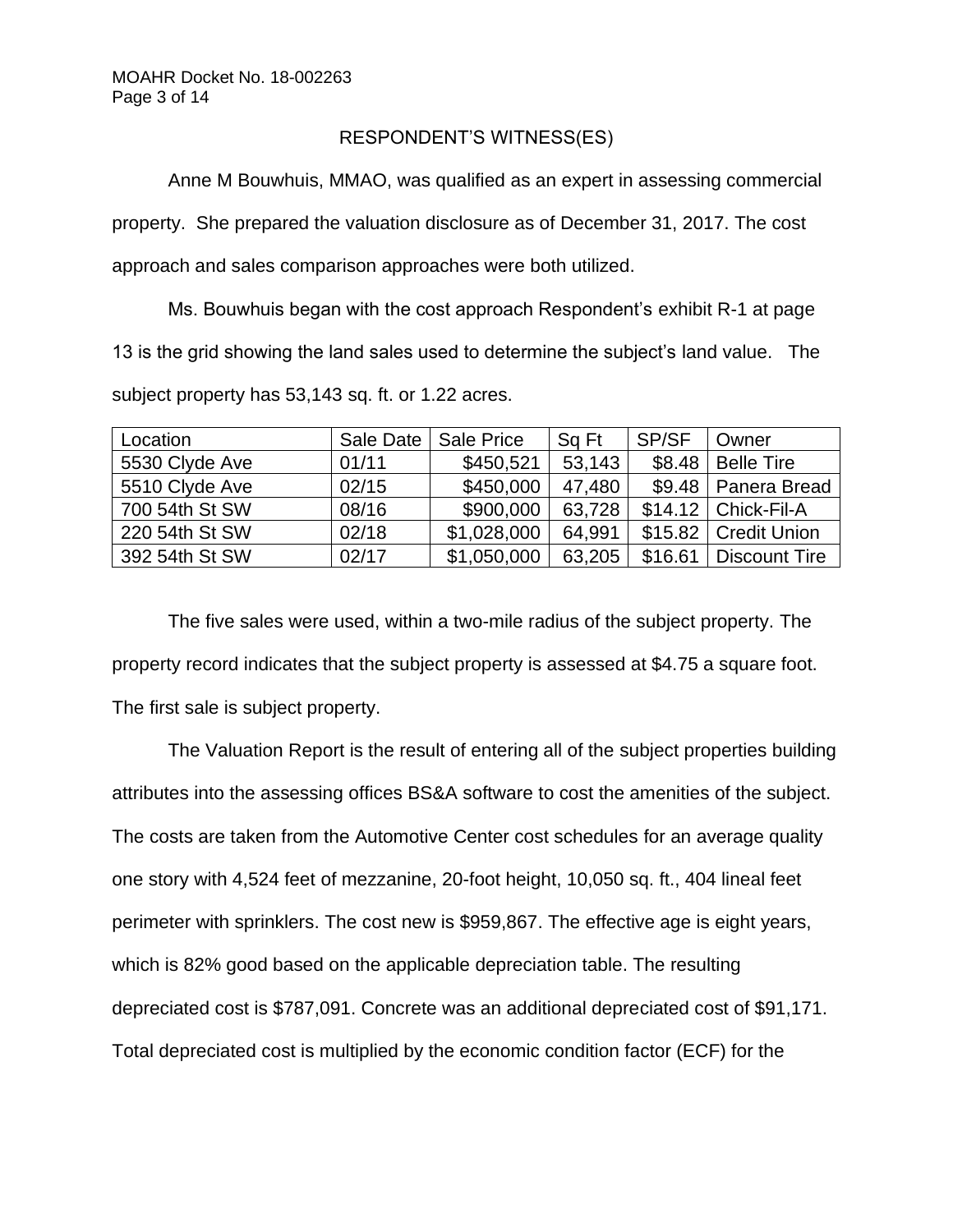### RESPONDENT'S WITNESS(ES)

Anne M Bouwhuis, MMAO, was qualified as an expert in assessing commercial property. She prepared the valuation disclosure as of December 31, 2017. The cost approach and sales comparison approaches were both utilized.

Ms. Bouwhuis began with the cost approach Respondent's exhibit R-1 at page 13 is the grid showing the land sales used to determine the subject's land value. The subject property has 53,143 sq. ft. or 1.22 acres.

| Location       | Sale Date | Sale Price  | Sq Ft  | SP/SF   | Owner                  |
|----------------|-----------|-------------|--------|---------|------------------------|
| 5530 Clyde Ave | 01/11     | \$450,521   | 53,143 | \$8.48  | <b>Belle Tire</b>      |
| 5510 Clyde Ave | 02/15     | \$450,000   | 47,480 |         | \$9.48   Panera Bread  |
| 700 54th St SW | 08/16     | \$900,000   | 63,728 |         | $$14.12$ Chick-Fil-A   |
| 220 54th St SW | 02/18     | \$1,028,000 | 64,991 |         | \$15.82   Credit Union |
| 392 54th St SW | 02/17     | \$1,050,000 | 63,205 | \$16.61 | <b>Discount Tire</b>   |

The five sales were used, within a two-mile radius of the subject property. The property record indicates that the subject property is assessed at \$4.75 a square foot. The first sale is subject property.

The Valuation Report is the result of entering all of the subject properties building attributes into the assessing offices BS&A software to cost the amenities of the subject. The costs are taken from the Automotive Center cost schedules for an average quality one story with 4,524 feet of mezzanine, 20-foot height, 10,050 sq. ft., 404 lineal feet perimeter with sprinklers. The cost new is \$959,867. The effective age is eight years, which is 82% good based on the applicable depreciation table. The resulting depreciated cost is \$787,091. Concrete was an additional depreciated cost of \$91,171. Total depreciated cost is multiplied by the economic condition factor (ECF) for the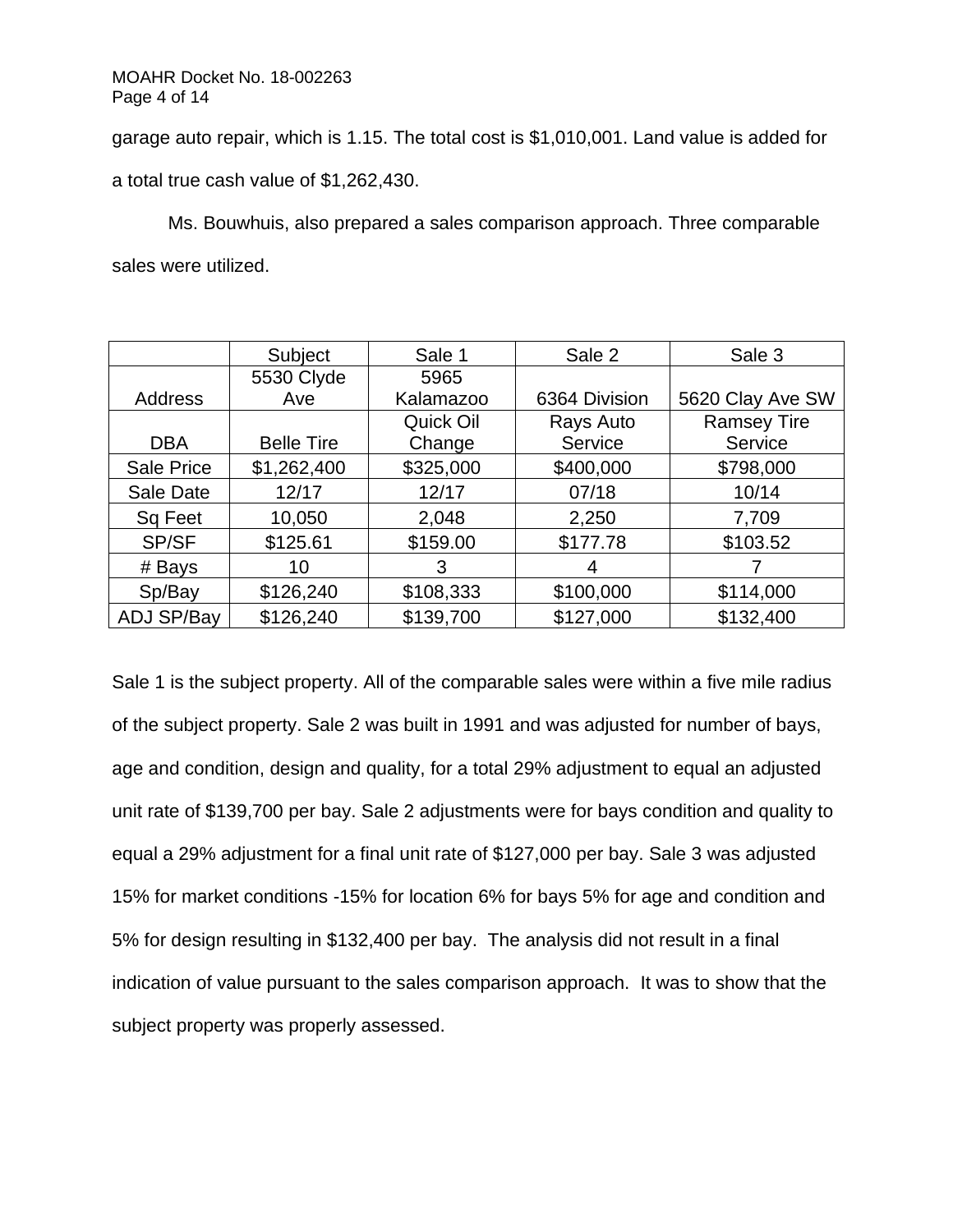garage auto repair, which is 1.15. The total cost is \$1,010,001. Land value is added for a total true cash value of \$1,262,430.

Ms. Bouwhuis, also prepared a sales comparison approach. Three comparable sales were utilized.

|                   | Subject           | Sale 1    | Sale 2        | Sale 3             |
|-------------------|-------------------|-----------|---------------|--------------------|
|                   | 5530 Clyde        | 5965      |               |                    |
| Address           | Ave               | Kalamazoo | 6364 Division | 5620 Clay Ave SW   |
|                   |                   | Quick Oil | Rays Auto     | <b>Ramsey Tire</b> |
| <b>DBA</b>        | <b>Belle Tire</b> | Change    | Service       | Service            |
| Sale Price        | \$1,262,400       | \$325,000 | \$400,000     | \$798,000          |
| Sale Date         | 12/17             | 12/17     | 07/18         | 10/14              |
| Sq Feet           | 10,050            | 2,048     | 2,250         | 7,709              |
| SP/SF             | \$125.61          | \$159.00  | \$177.78      | \$103.52           |
| # Bays            | 10                | 3         | 4             |                    |
| Sp/Bay            | \$126,240         | \$108,333 | \$100,000     | \$114,000          |
| <b>ADJ SP/Bay</b> | \$126,240         | \$139,700 | \$127,000     | \$132,400          |

Sale 1 is the subject property. All of the comparable sales were within a five mile radius of the subject property. Sale 2 was built in 1991 and was adjusted for number of bays, age and condition, design and quality, for a total 29% adjustment to equal an adjusted unit rate of \$139,700 per bay. Sale 2 adjustments were for bays condition and quality to equal a 29% adjustment for a final unit rate of \$127,000 per bay. Sale 3 was adjusted 15% for market conditions -15% for location 6% for bays 5% for age and condition and 5% for design resulting in \$132,400 per bay. The analysis did not result in a final indication of value pursuant to the sales comparison approach. It was to show that the subject property was properly assessed.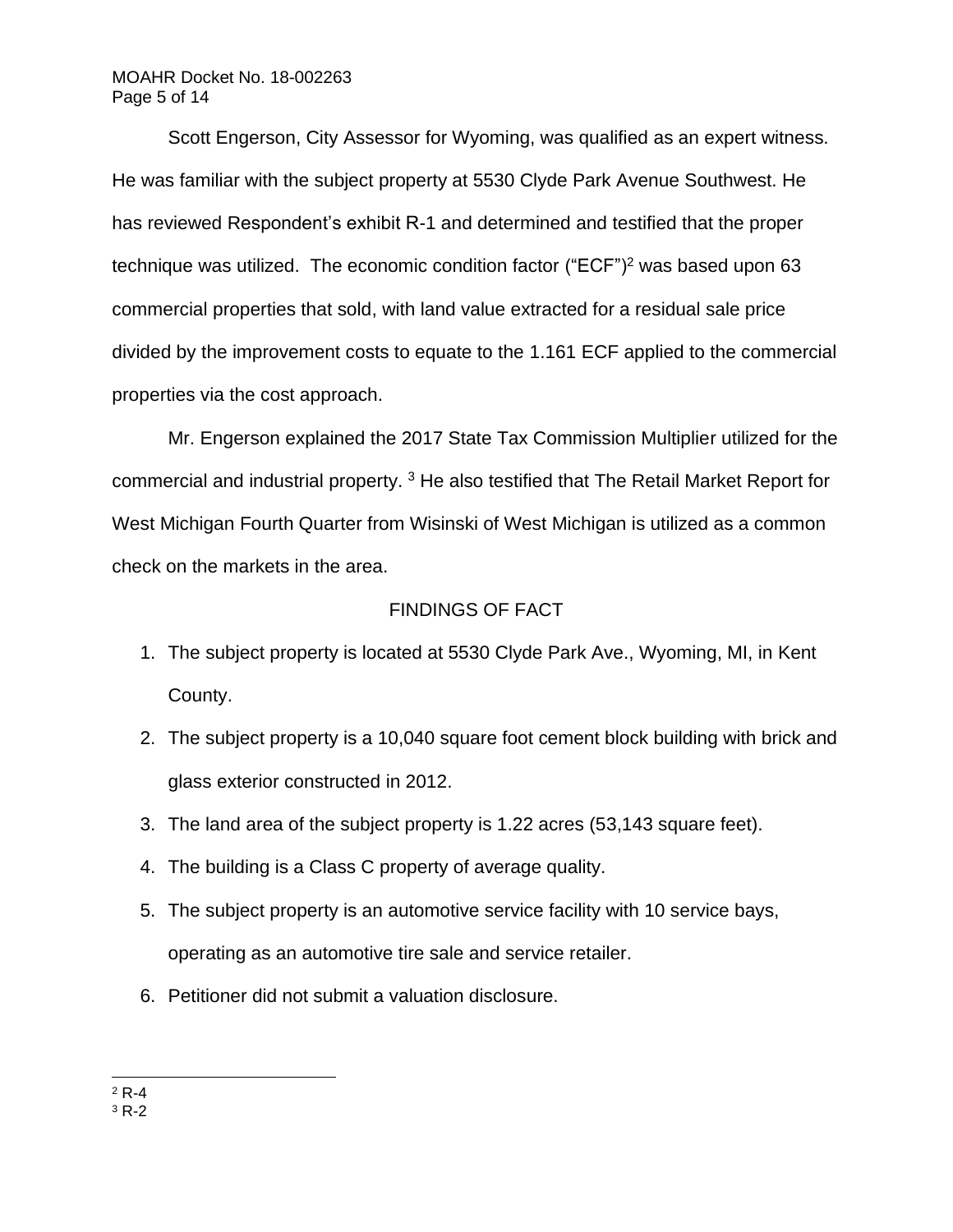### MOAHR Docket No. 18-002263 Page 5 of 14

Scott Engerson, City Assessor for Wyoming, was qualified as an expert witness. He was familiar with the subject property at 5530 Clyde Park Avenue Southwest. He has reviewed Respondent's exhibit R-1 and determined and testified that the proper technique was utilized. The economic condition factor ("ECF")<sup>2</sup> was based upon 63 commercial properties that sold, with land value extracted for a residual sale price divided by the improvement costs to equate to the 1.161 ECF applied to the commercial properties via the cost approach.

Mr. Engerson explained the 2017 State Tax Commission Multiplier utilized for the commercial and industrial property. <sup>3</sup> He also testified that The Retail Market Report for West Michigan Fourth Quarter from Wisinski of West Michigan is utilized as a common check on the markets in the area.

## FINDINGS OF FACT

- 1. The subject property is located at 5530 Clyde Park Ave., Wyoming, MI, in Kent County.
- 2. The subject property is a 10,040 square foot cement block building with brick and glass exterior constructed in 2012.
- 3. The land area of the subject property is 1.22 acres (53,143 square feet).
- 4. The building is a Class C property of average quality.
- 5. The subject property is an automotive service facility with 10 service bays, operating as an automotive tire sale and service retailer.
- 6. Petitioner did not submit a valuation disclosure.

 $2 R-4$ 

 $3 R-2$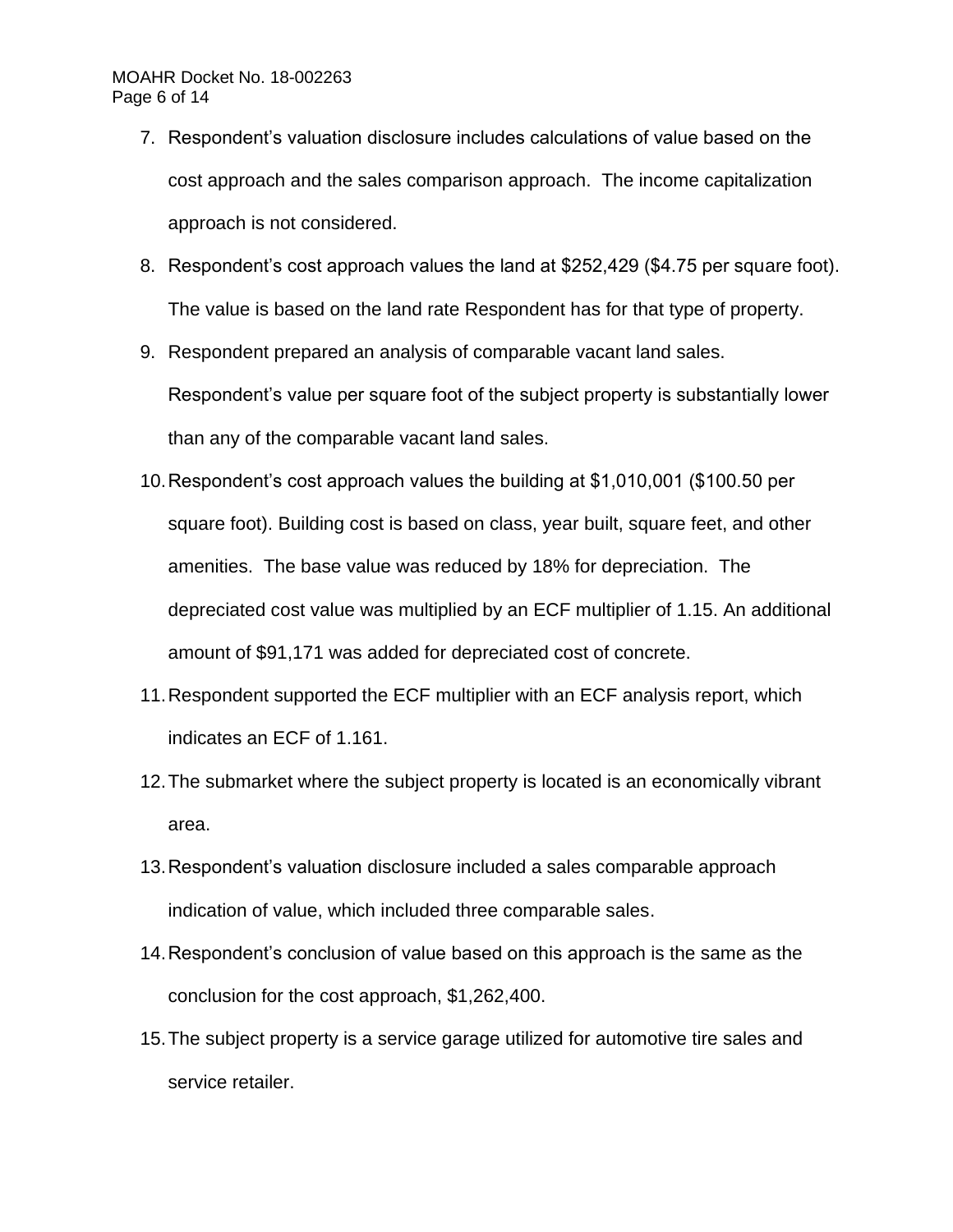### MOAHR Docket No. 18-002263 Page 6 of 14

- 7. Respondent's valuation disclosure includes calculations of value based on the cost approach and the sales comparison approach. The income capitalization approach is not considered.
- 8. Respondent's cost approach values the land at \$252,429 (\$4.75 per square foot). The value is based on the land rate Respondent has for that type of property.
- 9. Respondent prepared an analysis of comparable vacant land sales. Respondent's value per square foot of the subject property is substantially lower than any of the comparable vacant land sales.
- 10.Respondent's cost approach values the building at \$1,010,001 (\$100.50 per square foot). Building cost is based on class, year built, square feet, and other amenities. The base value was reduced by 18% for depreciation. The depreciated cost value was multiplied by an ECF multiplier of 1.15. An additional amount of \$91,171 was added for depreciated cost of concrete.
- 11.Respondent supported the ECF multiplier with an ECF analysis report, which indicates an ECF of 1.161.
- 12.The submarket where the subject property is located is an economically vibrant area.
- 13.Respondent's valuation disclosure included a sales comparable approach indication of value, which included three comparable sales.
- 14.Respondent's conclusion of value based on this approach is the same as the conclusion for the cost approach, \$1,262,400.
- 15.The subject property is a service garage utilized for automotive tire sales and service retailer.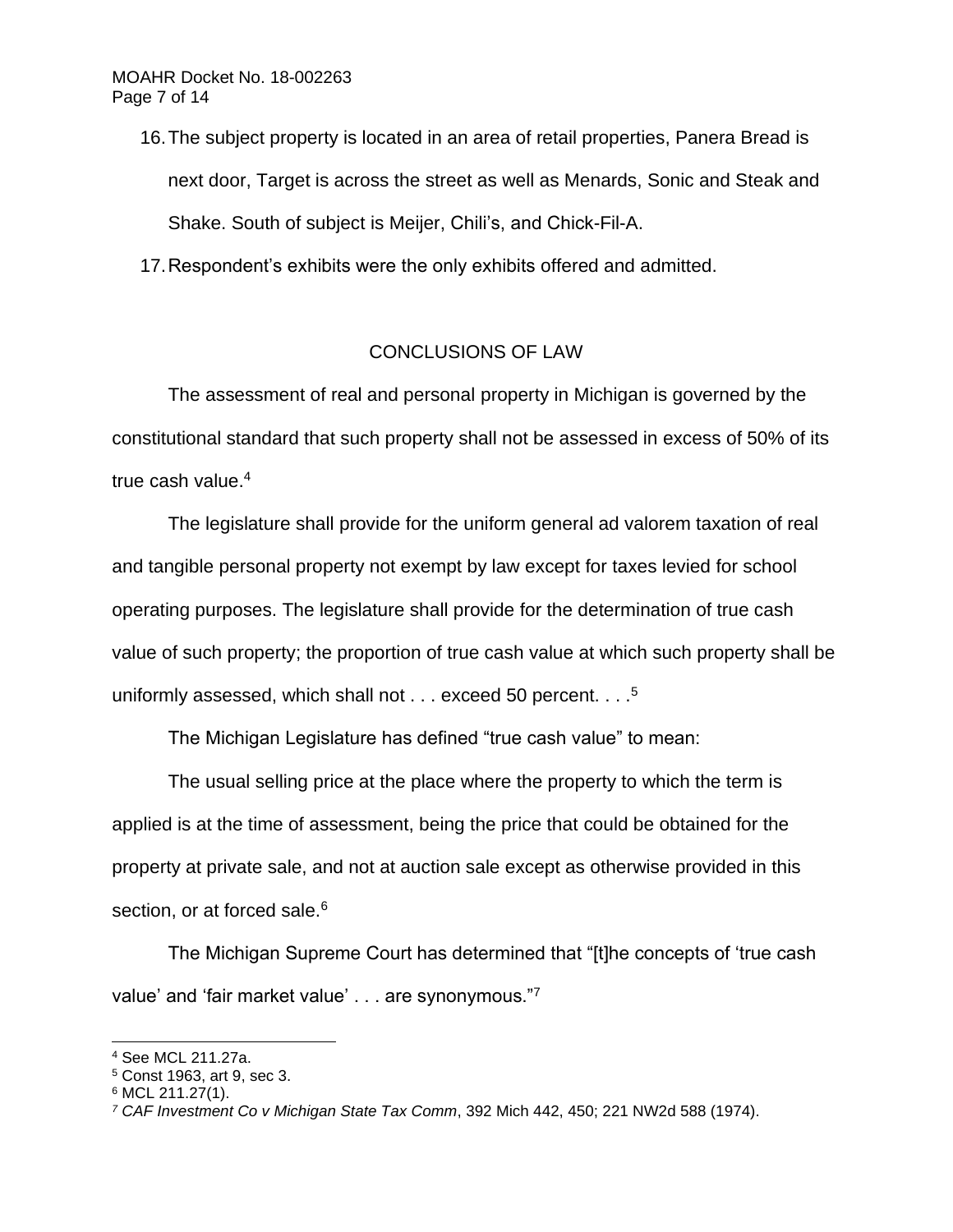16.The subject property is located in an area of retail properties, Panera Bread is next door, Target is across the street as well as Menards, Sonic and Steak and Shake. South of subject is Meijer, Chili's, and Chick-Fil-A.

17.Respondent's exhibits were the only exhibits offered and admitted.

# CONCLUSIONS OF LAW

The assessment of real and personal property in Michigan is governed by the constitutional standard that such property shall not be assessed in excess of 50% of its true cash value.<sup>4</sup>

The legislature shall provide for the uniform general ad valorem taxation of real and tangible personal property not exempt by law except for taxes levied for school operating purposes. The legislature shall provide for the determination of true cash value of such property; the proportion of true cash value at which such property shall be uniformly assessed, which shall not  $\dots$  exceed 50 percent.  $\dots$ <sup>5</sup>

The Michigan Legislature has defined "true cash value" to mean:

The usual selling price at the place where the property to which the term is applied is at the time of assessment, being the price that could be obtained for the property at private sale, and not at auction sale except as otherwise provided in this section, or at forced sale.<sup>6</sup>

The Michigan Supreme Court has determined that "[t]he concepts of 'true cash value' and 'fair market value' . . . are synonymous."7

<sup>4</sup> See MCL 211.27a.

<sup>5</sup> Const 1963, art 9, sec 3.

<sup>6</sup> MCL 211.27(1).

*<sup>7</sup> CAF Investment Co v Michigan State Tax Comm*, 392 Mich 442, 450; 221 NW2d 588 (1974).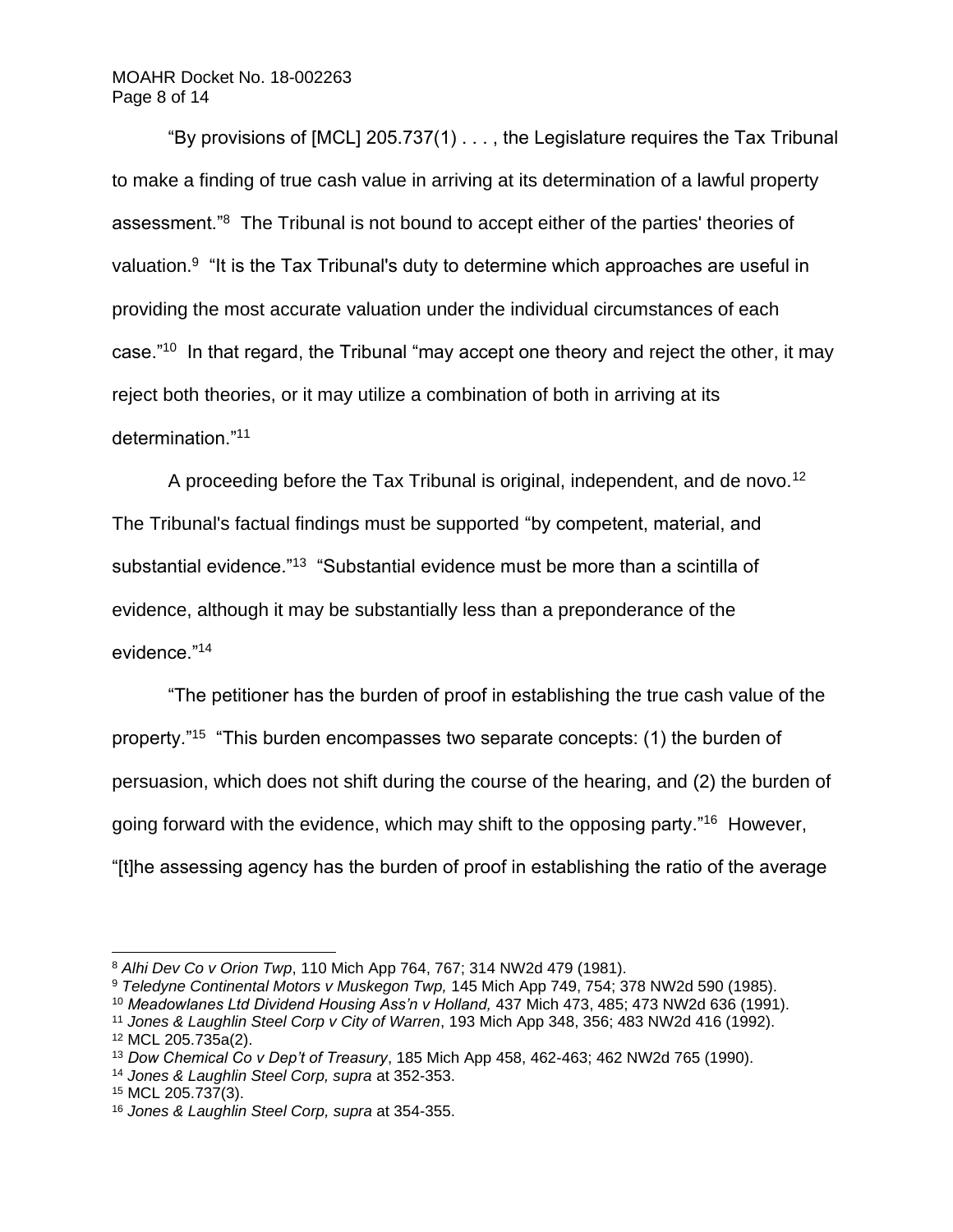### MOAHR Docket No. 18-002263 Page 8 of 14

"By provisions of [MCL] 205.737(1) . . . , the Legislature requires the Tax Tribunal to make a finding of true cash value in arriving at its determination of a lawful property assessment."<sup>8</sup> The Tribunal is not bound to accept either of the parties' theories of valuation.<sup>9</sup> "It is the Tax Tribunal's duty to determine which approaches are useful in providing the most accurate valuation under the individual circumstances of each case."<sup>10</sup> In that regard, the Tribunal "may accept one theory and reject the other, it may reject both theories, or it may utilize a combination of both in arriving at its determination."<sup>11</sup>

A proceeding before the Tax Tribunal is original, independent, and de novo.<sup>12</sup> The Tribunal's factual findings must be supported "by competent, material, and substantial evidence."<sup>13</sup> "Substantial evidence must be more than a scintilla of evidence, although it may be substantially less than a preponderance of the evidence."<sup>14</sup>

"The petitioner has the burden of proof in establishing the true cash value of the property."<sup>15</sup> "This burden encompasses two separate concepts: (1) the burden of persuasion, which does not shift during the course of the hearing, and (2) the burden of going forward with the evidence, which may shift to the opposing party."<sup>16</sup> However, "[t]he assessing agency has the burden of proof in establishing the ratio of the average

<sup>8</sup> *Alhi Dev Co v Orion Twp*, 110 Mich App 764, 767; 314 NW2d 479 (1981).

<sup>9</sup> *Teledyne Continental Motors v Muskegon Twp,* 145 Mich App 749, 754; 378 NW2d 590 (1985).

<sup>10</sup> *Meadowlanes Ltd Dividend Housing Ass'n v Holland,* 437 Mich 473, 485; 473 NW2d 636 (1991).

<sup>11</sup> *Jones & Laughlin Steel Corp v City of Warren*, 193 Mich App 348, 356; 483 NW2d 416 (1992). <sup>12</sup> MCL 205.735a(2).

<sup>13</sup> *Dow Chemical Co v Dep't of Treasury*, 185 Mich App 458, 462-463; 462 NW2d 765 (1990).

<sup>14</sup> *Jones & Laughlin Steel Corp, supra* at 352-353.

<sup>15</sup> MCL 205.737(3).

<sup>16</sup> *Jones & Laughlin Steel Corp, supra* at 354-355.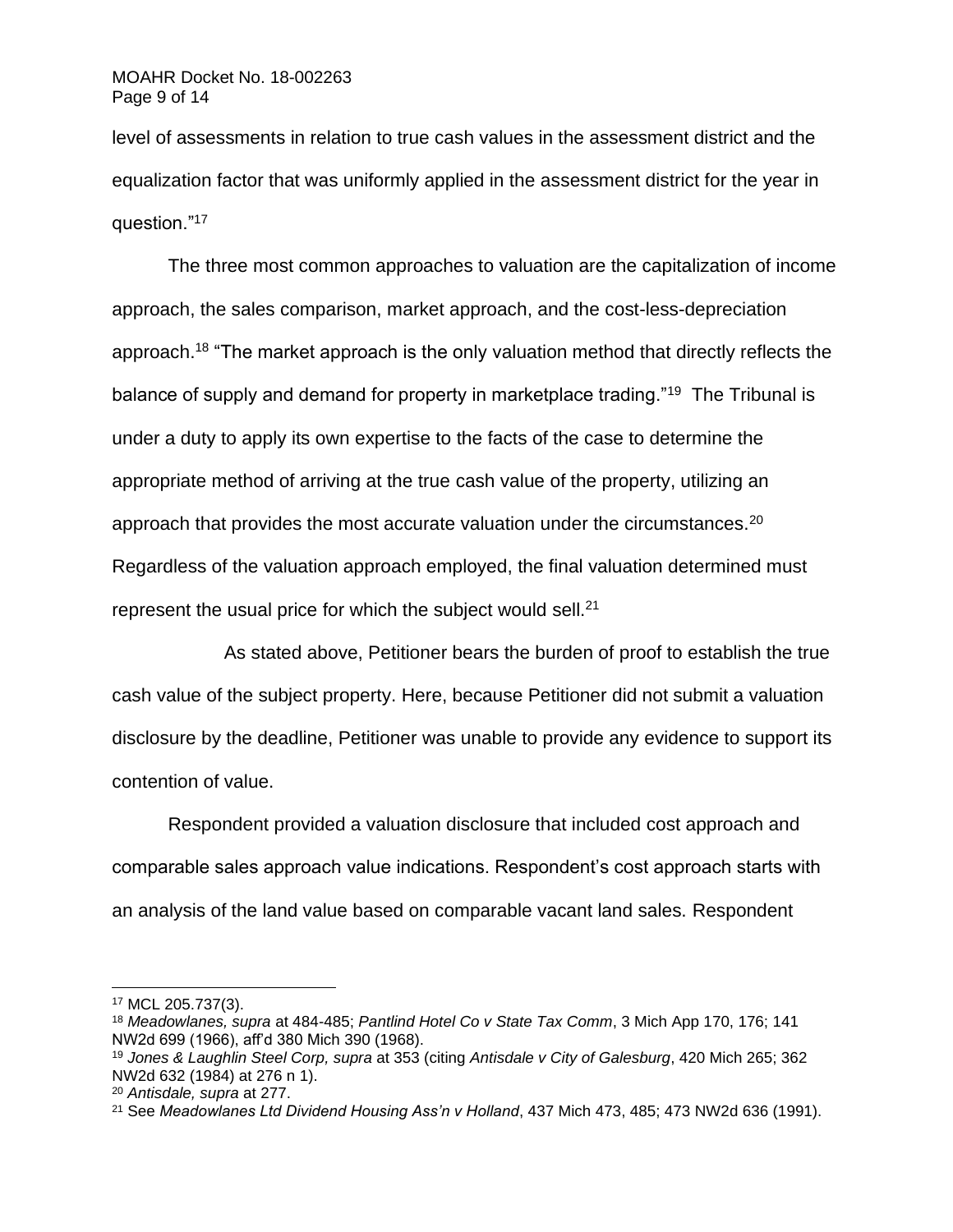level of assessments in relation to true cash values in the assessment district and the equalization factor that was uniformly applied in the assessment district for the year in question."<sup>17</sup>

The three most common approaches to valuation are the capitalization of income approach, the sales comparison, market approach, and the cost-less-depreciation approach.<sup>18</sup> "The market approach is the only valuation method that directly reflects the balance of supply and demand for property in marketplace trading."<sup>19</sup> The Tribunal is under a duty to apply its own expertise to the facts of the case to determine the appropriate method of arriving at the true cash value of the property, utilizing an approach that provides the most accurate valuation under the circumstances.<sup>20</sup> Regardless of the valuation approach employed, the final valuation determined must represent the usual price for which the subject would sell. $21$ 

As stated above, Petitioner bears the burden of proof to establish the true cash value of the subject property. Here, because Petitioner did not submit a valuation disclosure by the deadline, Petitioner was unable to provide any evidence to support its contention of value.

Respondent provided a valuation disclosure that included cost approach and comparable sales approach value indications. Respondent's cost approach starts with an analysis of the land value based on comparable vacant land sales. Respondent

<sup>17</sup> MCL 205.737(3).

<sup>18</sup> *Meadowlanes, supra* at 484-485; *Pantlind Hotel Co v State Tax Comm*, 3 Mich App 170, 176; 141 NW2d 699 (1966), aff'd 380 Mich 390 (1968).

<sup>19</sup> *Jones & Laughlin Steel Corp, supra* at 353 (citing *Antisdale v City of Galesburg*, 420 Mich 265; 362 NW2d 632 (1984) at 276 n 1).

<sup>20</sup> *Antisdale, supra* at 277.

<sup>21</sup> See *Meadowlanes Ltd Dividend Housing Ass'n v Holland*, 437 Mich 473, 485; 473 NW2d 636 (1991).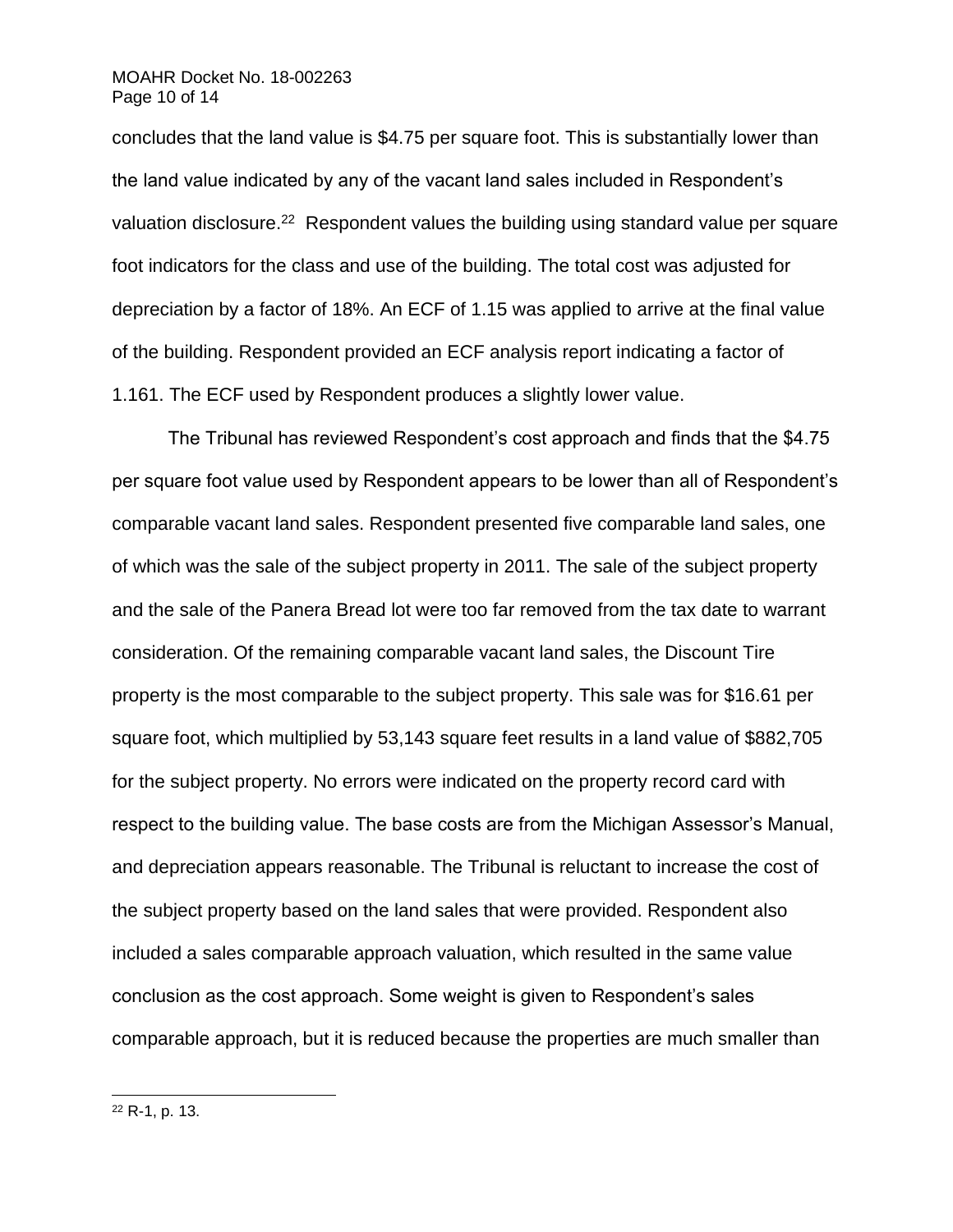### MOAHR Docket No. 18-002263 Page 10 of 14

concludes that the land value is \$4.75 per square foot. This is substantially lower than the land value indicated by any of the vacant land sales included in Respondent's valuation disclosure.<sup>22</sup> Respondent values the building using standard value per square foot indicators for the class and use of the building. The total cost was adjusted for depreciation by a factor of 18%. An ECF of 1.15 was applied to arrive at the final value of the building. Respondent provided an ECF analysis report indicating a factor of 1.161. The ECF used by Respondent produces a slightly lower value.

The Tribunal has reviewed Respondent's cost approach and finds that the \$4.75 per square foot value used by Respondent appears to be lower than all of Respondent's comparable vacant land sales. Respondent presented five comparable land sales, one of which was the sale of the subject property in 2011. The sale of the subject property and the sale of the Panera Bread lot were too far removed from the tax date to warrant consideration. Of the remaining comparable vacant land sales, the Discount Tire property is the most comparable to the subject property. This sale was for \$16.61 per square foot, which multiplied by 53,143 square feet results in a land value of \$882,705 for the subject property. No errors were indicated on the property record card with respect to the building value. The base costs are from the Michigan Assessor's Manual, and depreciation appears reasonable. The Tribunal is reluctant to increase the cost of the subject property based on the land sales that were provided. Respondent also included a sales comparable approach valuation, which resulted in the same value conclusion as the cost approach. Some weight is given to Respondent's sales comparable approach, but it is reduced because the properties are much smaller than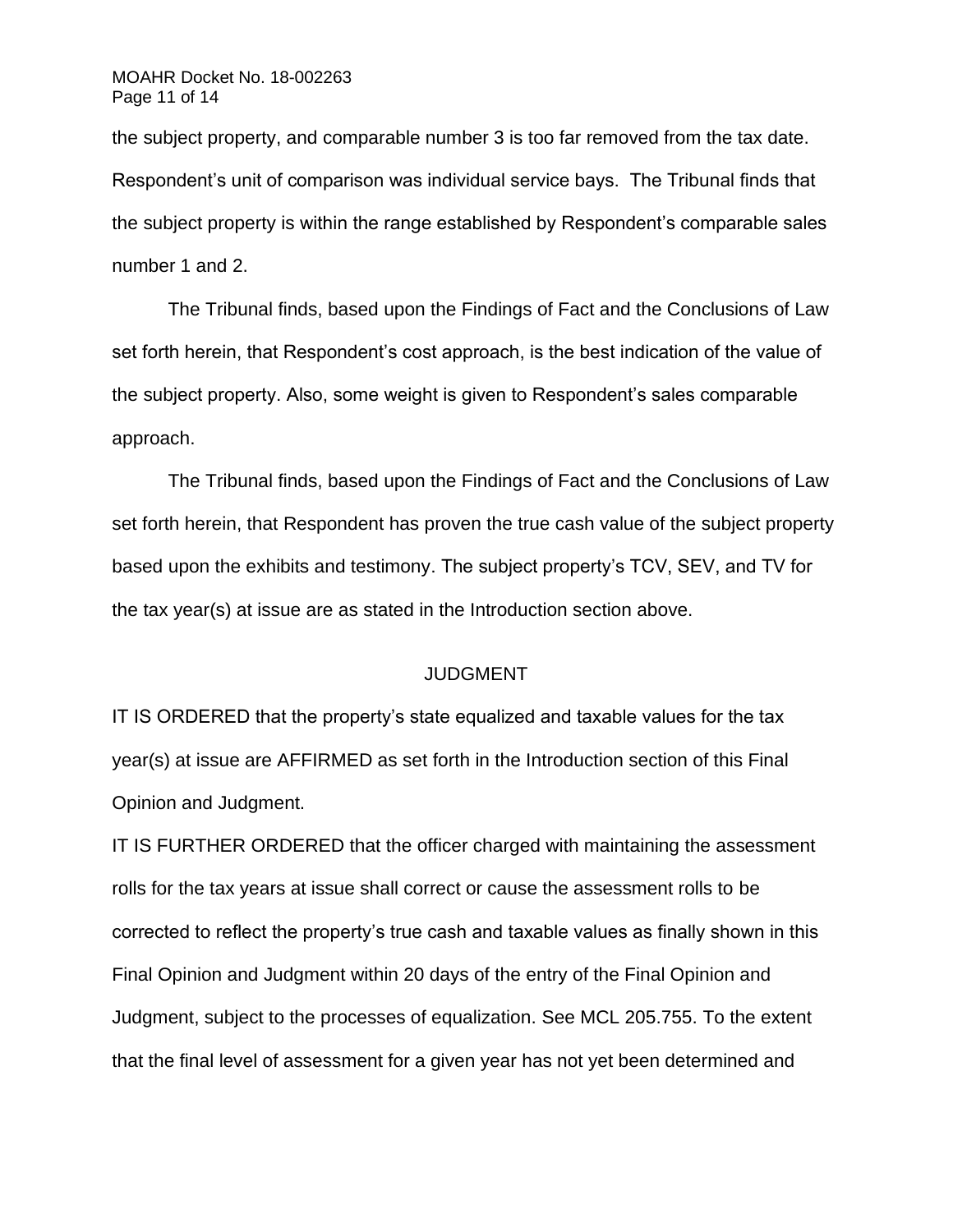the subject property, and comparable number 3 is too far removed from the tax date. Respondent's unit of comparison was individual service bays. The Tribunal finds that the subject property is within the range established by Respondent's comparable sales number 1 and 2.

The Tribunal finds, based upon the Findings of Fact and the Conclusions of Law set forth herein, that Respondent's cost approach, is the best indication of the value of the subject property. Also, some weight is given to Respondent's sales comparable approach.

The Tribunal finds, based upon the Findings of Fact and the Conclusions of Law set forth herein, that Respondent has proven the true cash value of the subject property based upon the exhibits and testimony. The subject property's TCV, SEV, and TV for the tax year(s) at issue are as stated in the Introduction section above.

### JUDGMENT

IT IS ORDERED that the property's state equalized and taxable values for the tax year(s) at issue are AFFIRMED as set forth in the Introduction section of this Final Opinion and Judgment.

IT IS FURTHER ORDERED that the officer charged with maintaining the assessment rolls for the tax years at issue shall correct or cause the assessment rolls to be corrected to reflect the property's true cash and taxable values as finally shown in this Final Opinion and Judgment within 20 days of the entry of the Final Opinion and Judgment, subject to the processes of equalization. See MCL 205.755. To the extent that the final level of assessment for a given year has not yet been determined and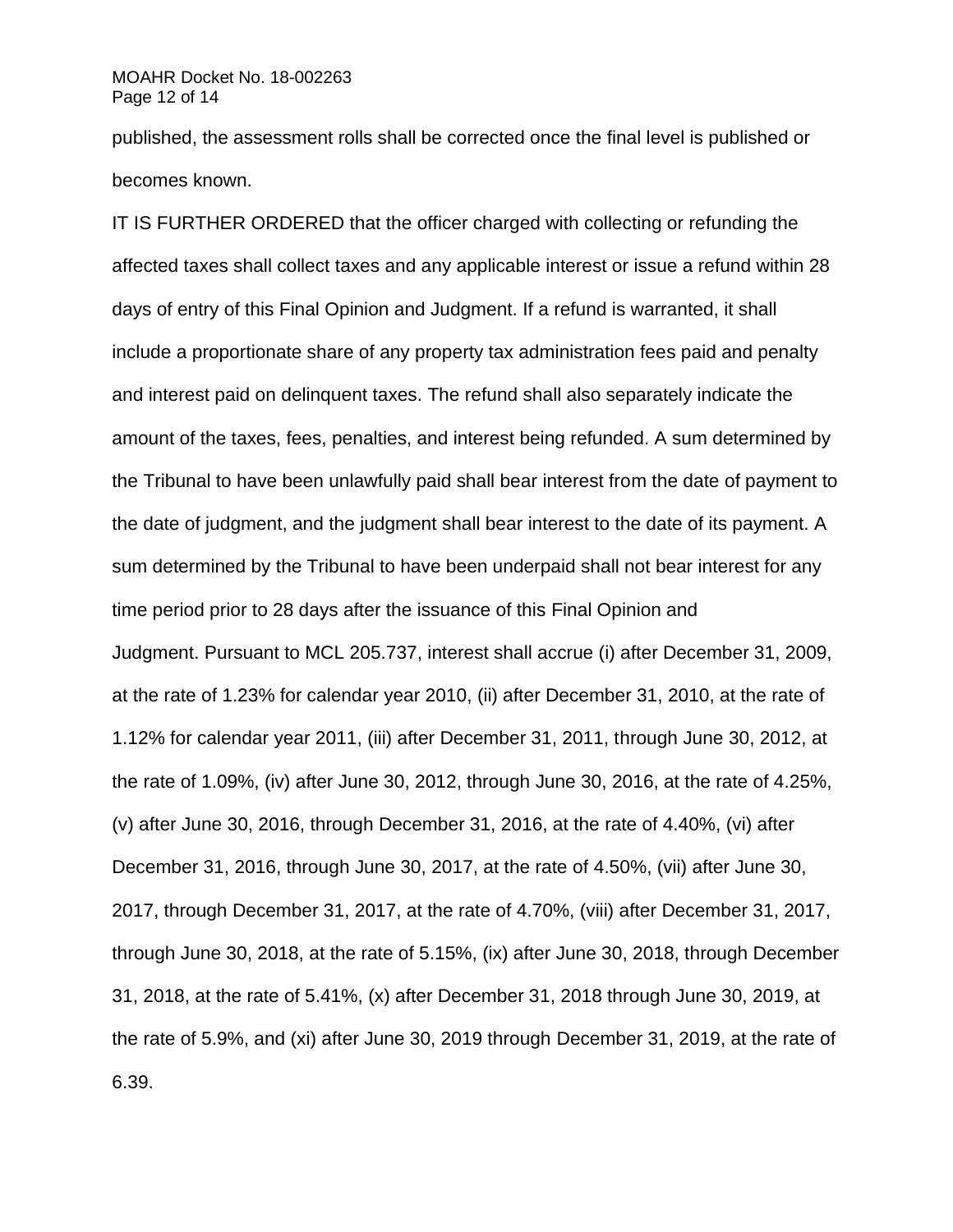### MOAHR Docket No. 18-002263 Page 12 of 14

published, the assessment rolls shall be corrected once the final level is published or becomes known.

IT IS FURTHER ORDERED that the officer charged with collecting or refunding the affected taxes shall collect taxes and any applicable interest or issue a refund within 28 days of entry of this Final Opinion and Judgment. If a refund is warranted, it shall include a proportionate share of any property tax administration fees paid and penalty and interest paid on delinquent taxes. The refund shall also separately indicate the amount of the taxes, fees, penalties, and interest being refunded. A sum determined by the Tribunal to have been unlawfully paid shall bear interest from the date of payment to the date of judgment, and the judgment shall bear interest to the date of its payment. A sum determined by the Tribunal to have been underpaid shall not bear interest for any time period prior to 28 days after the issuance of this Final Opinion and Judgment. Pursuant to MCL 205.737, interest shall accrue (i) after December 31, 2009, at the rate of 1.23% for calendar year 2010, (ii) after December 31, 2010, at the rate of 1.12% for calendar year 2011, (iii) after December 31, 2011, through June 30, 2012, at the rate of 1.09%, (iv) after June 30, 2012, through June 30, 2016, at the rate of 4.25%, (v) after June 30, 2016, through December 31, 2016, at the rate of 4.40%, (vi) after December 31, 2016, through June 30, 2017, at the rate of 4.50%, (vii) after June 30, 2017, through December 31, 2017, at the rate of 4.70%, (viii) after December 31, 2017, through June 30, 2018, at the rate of 5.15%, (ix) after June 30, 2018, through December 31, 2018, at the rate of 5.41%, (x) after December 31, 2018 through June 30, 2019, at the rate of 5.9%, and (xi) after June 30, 2019 through December 31, 2019, at the rate of 6.39.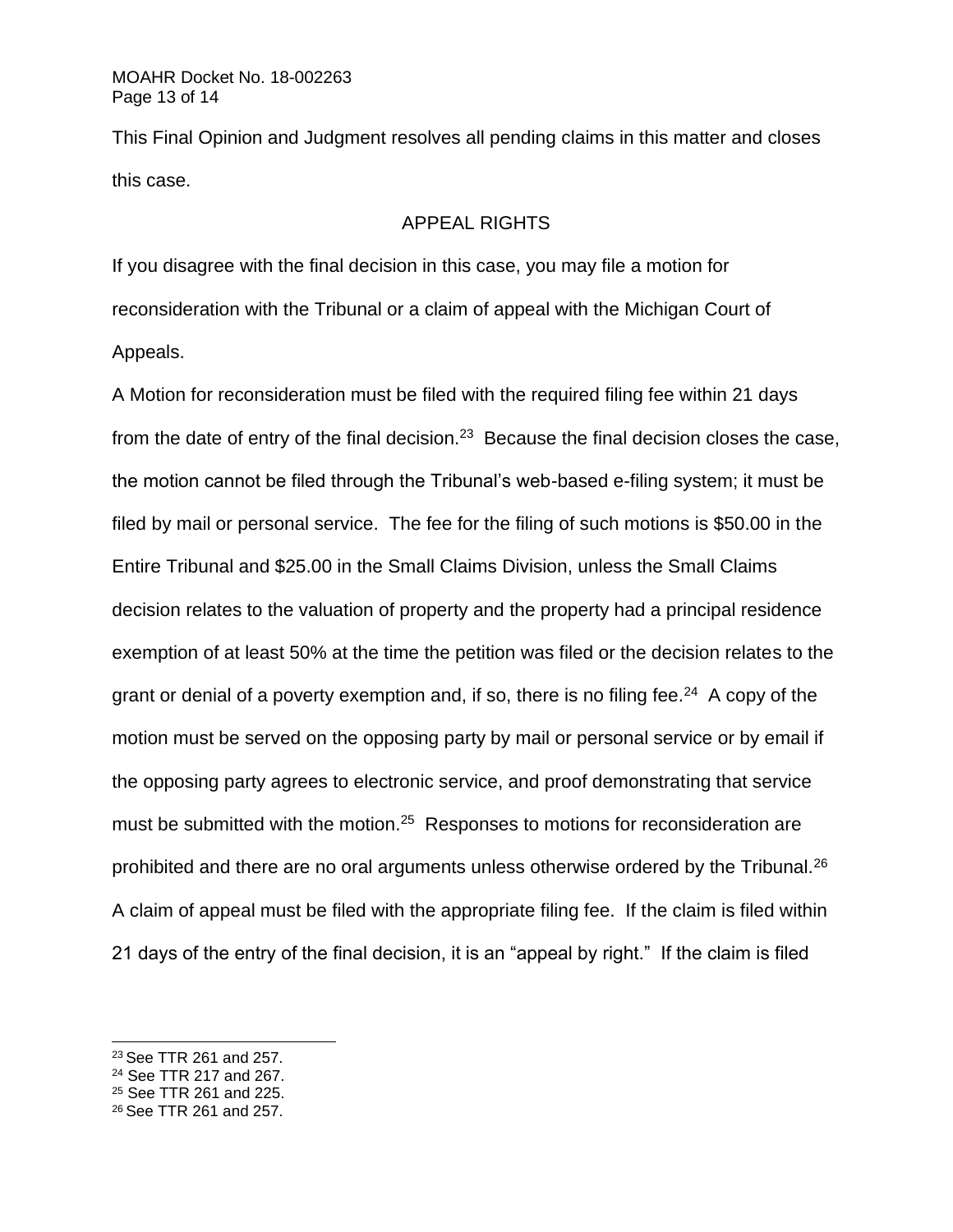This Final Opinion and Judgment resolves all pending claims in this matter and closes this case.

### APPEAL RIGHTS

If you disagree with the final decision in this case, you may file a motion for reconsideration with the Tribunal or a claim of appeal with the Michigan Court of Appeals.

A Motion for reconsideration must be filed with the required filing fee within 21 days from the date of entry of the final decision.<sup>23</sup> Because the final decision closes the case, the motion cannot be filed through the Tribunal's web-based e-filing system; it must be filed by mail or personal service. The fee for the filing of such motions is \$50.00 in the Entire Tribunal and \$25.00 in the Small Claims Division, unless the Small Claims decision relates to the valuation of property and the property had a principal residence exemption of at least 50% at the time the petition was filed or the decision relates to the grant or denial of a poverty exemption and, if so, there is no filing fee.<sup>24</sup> A copy of the motion must be served on the opposing party by mail or personal service or by email if the opposing party agrees to electronic service, and proof demonstrating that service must be submitted with the motion.<sup>25</sup> Responses to motions for reconsideration are prohibited and there are no oral arguments unless otherwise ordered by the Tribunal.<sup>26</sup> A claim of appeal must be filed with the appropriate filing fee. If the claim is filed within 21 days of the entry of the final decision, it is an "appeal by right." If the claim is filed

<sup>24</sup> See TTR 217 and 267.

<sup>23</sup> See TTR 261 and 257.

<sup>25</sup> See TTR 261 and 225.

<sup>26</sup> See TTR 261 and 257.